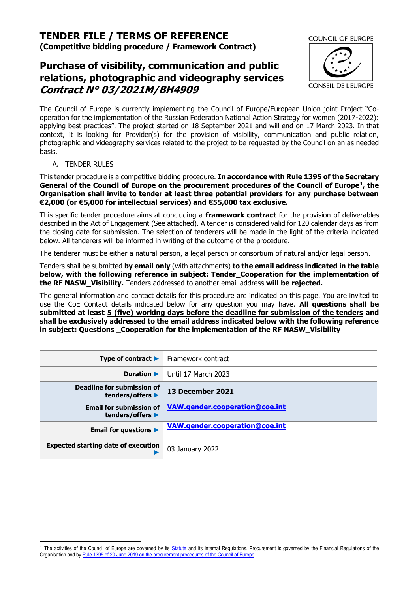# **TENDER FILE / TERMS OF REFERENCE**

**(Competitive bidding procedure / Framework Contract)**

# **Purchase of visibility, communication and public relations, photographic and videography services Contract N° 03/2021M/BH4909**



The Council of Europe is currently implementing the Council of Europe/European Union joint Project "Cooperation for the implementation of the Russian Federation National Action Strategy for women (2017-2022): applying best practices". The project started on 18 September 2021 and will end on 17 March 2023. In that context, it is looking for Provider(s) for the provision of visibility, communication and public relation, photographic and videography services related to the project to be requested by the Council on an as needed basis.

A. TENDER RULES

This tender procedure is a competitive bidding procedure. **In accordance with Rule 1395 of the Secretary General of the Council of Europe on the procurement procedures of the Council of Europe<sup>1</sup> , the Organisation shall invite to tender at least three potential providers for any purchase between €2,000 (or €5,000 for intellectual services) and €55,000 tax exclusive.**

This specific tender procedure aims at concluding a **framework contract** for the provision of deliverables described in the Act of Engagement (See attached). A tender is considered valid for 120 calendar days as from the closing date for submission. The selection of tenderers will be made in the light of the criteria indicated below. All tenderers will be informed in writing of the outcome of the procedure.

The tenderer must be either a natural person, a legal person or consortium of natural and/or legal person.

Tenders shall be submitted **by email only** (with attachments) **to the email address indicated in the table below, with the following reference in subject: Tender\_Cooperation for the implementation of the RF NASW\_Visibility.** Tenders addressed to another email address **will be rejected.**

The general information and contact details for this procedure are indicated on this page. You are invited to use the CoE Contact details indicated below for any question you may have. **All questions shall be submitted at least 5 (five) working days before the deadline for submission of the tenders and shall be exclusively addressed to the email address indicated below with the following reference in subject: Questions \_Cooperation for the implementation of the RF NASW\_Visibility**

|                                                    | <b>Type of contract <math>\blacktriangleright</math></b> Framework contract |
|----------------------------------------------------|-----------------------------------------------------------------------------|
| Duration $\blacktriangleright$                     | Until 17 March 2023                                                         |
| Deadline for submission of<br>tenders/offers ▶     | 13 December 2021                                                            |
| <b>Email for submission of</b><br>tenders/offers ▶ | VAW.gender.cooperation@coe.int                                              |
| <b>Email for questions &gt;</b>                    | VAW.gender.cooperation@coe.int                                              |
| <b>Expected starting date of execution</b>         | 03 January 2022                                                             |

<sup>&</sup>lt;sup>1</sup> The activities of the Council of Europe are governed by its [Statute](https://rm.coe.int/CoERMPublicCommonSearchServices/DisplayDCTMContent?documentId=0900001680306052) and its internal Regulations. Procurement is governed by the Financial Regulations of the Organisation and by Rule 1395 of 20 June 2019 [on the procurement procedures of the Council of Europe.](https://search.coe.int/intranet/Pages/result_details.aspx?ObjectId=090000168094853e)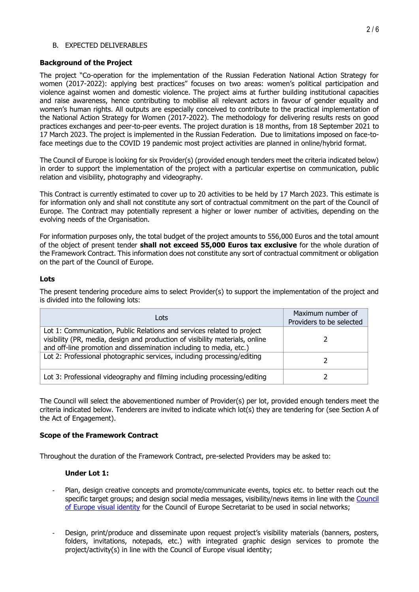#### B. EXPECTED DELIVERABLES

#### **Background of the Project**

The project "Co-operation for the implementation of the Russian Federation National Action Strategy for women (2017-2022): applying best practices" focuses on two areas: women's political participation and violence against women and domestic violence. The project aims at further building institutional capacities and raise awareness, hence contributing to mobilise all relevant actors in favour of gender equality and women's human rights. All outputs are especially conceived to contribute to the practical implementation of the National Action Strategy for Women (2017-2022). The methodology for delivering results rests on good practices exchanges and peer-to-peer events. The project duration is 18 months, from 18 September 2021 to 17 March 2023. The project is implemented in the Russian Federation. Due to limitations imposed on face-toface meetings due to the COVID 19 pandemic most project activities are planned in online/hybrid format.

The Council of Europe is looking for six Provider(s) (provided enough tenders meet the criteria indicated below) in order to support the implementation of the project with a particular expertise on communication, public relation and visibility, photography and videography.

This Contract is currently estimated to cover up to 20 activities to be held by 17 March 2023. This estimate is for information only and shall not constitute any sort of contractual commitment on the part of the Council of Europe. The Contract may potentially represent a higher or lower number of activities, depending on the evolving needs of the Organisation.

For information purposes only, the total budget of the project amounts to 556,000 Euros and the total amount of the object of present tender **shall not exceed 55,000 Euros tax exclusive** for the whole duration of the Framework Contract. This information does not constitute any sort of contractual commitment or obligation on the part of the Council of Europe.

### **Lots**

The present tendering procedure aims to select Provider(s) to support the implementation of the project and is divided into the following lots:

| Lots                                                                                                                                                                                                                         | Maximum number of<br>Providers to be selected |
|------------------------------------------------------------------------------------------------------------------------------------------------------------------------------------------------------------------------------|-----------------------------------------------|
| Lot 1: Communication, Public Relations and services related to project<br>visibility (PR, media, design and production of visibility materials, online<br>and off-line promotion and dissemination including to media, etc.) |                                               |
| Lot 2: Professional photographic services, including processing/editing                                                                                                                                                      |                                               |
| Lot 3: Professional videography and filming including processing/editing                                                                                                                                                     |                                               |

The Council will select the abovementioned number of Provider(s) per lot, provided enough tenders meet the criteria indicated below. Tenderers are invited to indicate which lot(s) they are tendering for (see Section A of the Act of Engagement).

### **Scope of the Framework Contract**

Throughout the duration of the Framework Contract, pre-selected Providers may be asked to:

### **Under Lot 1:**

- Plan, design creative concepts and promote/communicate events, topics etc. to better reach out the specific target groups; and design social media messages, visibility/news items in line with the [Council](https://rm.coe.int/visual-identity-of-the-council-of-europe-graphic-charter/168071e7f3)  [of Europe visual identity](https://rm.coe.int/visual-identity-of-the-council-of-europe-graphic-charter/168071e7f3) for the Council of Europe Secretariat to be used in social networks;
- Design, print/produce and disseminate upon request project's visibility materials (banners, posters, folders, invitations, notepads, etc.) with integrated graphic design services to promote the project/activity(s) in line with the Council of Europe visual identity;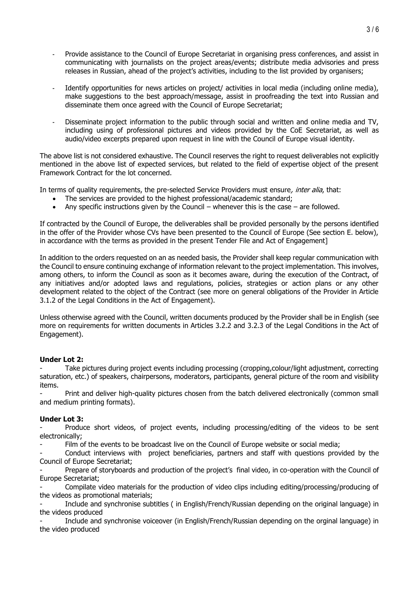- Provide assistance to the Council of Europe Secretariat in organising press conferences, and assist in communicating with journalists on the project areas/events; distribute media advisories and press releases in Russian, ahead of the project's activities, including to the list provided by organisers;
- Identify opportunities for news articles on project/ activities in local media (including online media), make suggestions to the best approach/message, assist in proofreading the text into Russian and disseminate them once agreed with the Council of Europe Secretariat;
- Disseminate project information to the public through social and written and online media and TV, including using of professional pictures and videos provided by the CoE Secretariat, as well as audio/video excerpts prepared upon request in line with the Council of Europe visual identity.

The above list is not considered exhaustive. The Council reserves the right to request deliverables not explicitly mentioned in the above list of expected services, but related to the field of expertise object of the present Framework Contract for the lot concerned.

In terms of quality requirements, the pre-selected Service Providers must ensure, inter alia, that:

- The services are provided to the highest professional/academic standard;
- Any specific instructions given by the Council whenever this is the case are followed.

If contracted by the Council of Europe, the deliverables shall be provided personally by the persons identified in the offer of the Provider whose CVs have been presented to the Council of Europe (See section E. below), in accordance with the terms as provided in the present Tender File and Act of Engagement]

In addition to the orders requested on an as needed basis, the Provider shall keep regular communication with the Council to ensure continuing exchange of information relevant to the project implementation. This involves, among others, to inform the Council as soon as it becomes aware, during the execution of the Contract, of any initiatives and/or adopted laws and regulations, policies, strategies or action plans or any other development related to the object of the Contract (see more on general obligations of the Provider in Article 3.1.2 of the Legal Conditions in the Act of Engagement).

Unless otherwise agreed with the Council, written documents produced by the Provider shall be in English (see more on requirements for written documents in Articles 3.2.2 and 3.2.3 of the Legal Conditions in the Act of Engagement).

### **Under Lot 2:**

Take pictures during project events including processing (cropping, colour/light adjustment, correcting saturation, etc.) of speakers, chairpersons, moderators, participants, general picture of the room and visibility items.

Print and deliver high-quality pictures chosen from the batch delivered electronically (common small and medium printing formats).

### **Under Lot 3:**

Produce short videos, of project events, including processing/editing of the videos to be sent electronically;

Film of the events to be broadcast live on the Council of Europe website or social media;

Conduct interviews with project beneficiaries, partners and staff with questions provided by the Council of Europe Secretariat;

Prepare of storyboards and production of the project's final video, in co-operation with the Council of Europe Secretariat;

- Compilate video materials for the production of video clips including editing/processing/producing of the videos as promotional materials;

- Include and synchronise subtitles ( in English/French/Russian depending on the original language) in the videos produced

Include and synchronise voiceover (in English/French/Russian depending on the orginal language) in the video produced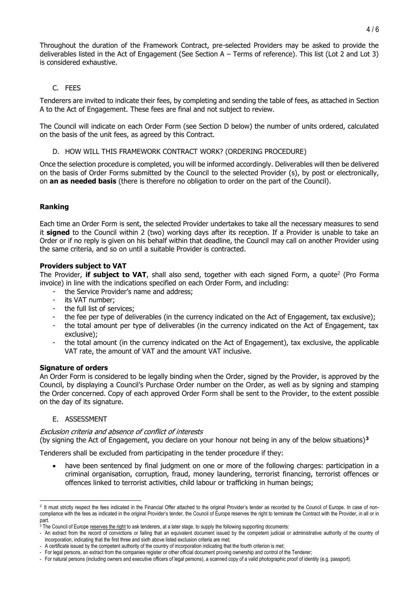Throughout the duration of the Framework Contract, pre-selected Providers may be asked to provide the deliverables listed in the Act of Engagement (See Section A – Terms of reference). This list (Lot 2 and Lot 3) is considered exhaustive.

# C. FEES

Tenderers are invited to indicate their fees, by completing and sending the table of fees, as attached in Section A to the Act of Engagement. These fees are final and not subject to review.

The Council will indicate on each Order Form (see Section [D](#page-3-0) below) the number of units ordered, calculated on the basis of the unit fees, as agreed by this Contract.

### D. HOW WILL THIS FRAMEWORK CONTRACT WORK? (ORDERING PROCEDURE)

<span id="page-3-0"></span>Once the selection procedure is completed, you will be informed accordingly. Deliverables will then be delivered on the basis of Order Forms submitted by the Council to the selected Provider (s), by post or electronically, on **an as needed basis** (there is therefore no obligation to order on the part of the Council).

# **Ranking**

Each time an Order Form is sent, the selected Provider undertakes to take all the necessary measures to send it **signed** to the Council within 2 (two) working days after its reception. If a Provider is unable to take an Order or if no reply is given on his behalf within that deadline, the Council may call on another Provider using the same criteria, and so on until a suitable Provider is contracted.

#### **Providers subject to VAT**

The Provider, **if subject to VAT**, shall also send, together with each signed Form, a quote<sup>2</sup> (Pro Forma invoice) in line with the indications specified on each Order Form, and including:

- the Service Provider's name and address;
- its VAT number:
- the full list of services;
- the fee per type of deliverables (in the currency indicated on the Act of Engagement, tax exclusive);
- the total amount per type of deliverables (in the currency indicated on the Act of Engagement, tax exclusive);
- the total amount (in the currency indicated on the Act of Engagement), tax exclusive, the applicable VAT rate, the amount of VAT and the amount VAT inclusive.

#### **Signature of orders**

An Order Form is considered to be legally binding when the Order, signed by the Provider, is approved by the Council, by displaying a Council's Purchase Order number on the Order, as well as by signing and stamping the Order concerned. Copy of each approved Order Form shall be sent to the Provider, to the extent possible on the day of its signature.

### E. ASSESSMENT

### Exclusion criteria and absence of conflict of interests

(by signing the Act of Engagement, you declare on your honour not being in any of the below situations)**<sup>3</sup>**

Tenderers shall be excluded from participating in the tender procedure if they:

have been sentenced by final judgment on one or more of the following charges: participation in a criminal organisation, corruption, fraud, money laundering, terrorist financing, terrorist offences or offences linked to terrorist activities, child labour or trafficking in human beings;

<sup>&</sup>lt;sup>2</sup> It must strictly respect the fees indicated in the Financial Offer attached to the original Provider's tender as recorded by the Council of Europe. In case of noncompliance with the fees as indicated in the original Provider's tender, the Council of Europe reserves the right to terminate the Contract with the Provider, in all or in part.

<sup>&</sup>lt;sup>3</sup> The Council of Europe reserves the right to ask tenderers, at a later stage, to supply the following supporting documents:

<sup>-</sup> An extract from the record of convictions or failing that an equivalent document issued by the competent judicial or administrative authority of the country of incorporation, indicating that the first three and sixth above listed exclusion criteria are met;

<sup>-</sup> A certificate issued by the competent authority of the country of incorporation indicating that the fourth criterion is met;

<sup>-</sup> For legal persons, an extract from the companies register or other official document proving ownership and control of the Tenderer;

<sup>-</sup> For natural persons (including owners and executive officers of legal persons), a scanned copy of a valid photographic proof of identity (e.g. passport).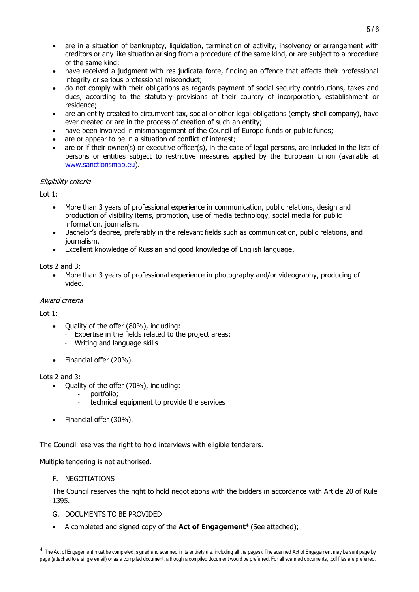- are in a situation of bankruptcy, liquidation, termination of activity, insolvency or arrangement with creditors or any like situation arising from a procedure of the same kind, or are subject to a procedure of the same kind;
- have received a judgment with res judicata force, finding an offence that affects their professional integrity or serious professional misconduct;
- do not comply with their obligations as regards payment of social security contributions, taxes and dues, according to the statutory provisions of their country of incorporation, establishment or residence;
- are an entity created to circumvent tax, social or other legal obligations (empty shell company), have ever created or are in the process of creation of such an entity;
- have been involved in mismanagement of the Council of Europe funds or public funds;
- are or appear to be in a situation of conflict of interest;
- are or if their owner(s) or executive officer(s), in the case of legal persons, are included in the lists of persons or entities subject to restrictive measures applied by the European Union (available at [www.sanctionsmap.eu\)](http://www.sanctionsmap.eu/).

# Eligibility criteria

 $Int 1:$ 

- More than 3 years of professional experience in communication, public relations, design and production of visibility items, promotion, use of media technology, social media for public information, journalism.
- Bachelor's degree, preferably in the relevant fields such as communication, public relations, and journalism.
- Excellent knowledge of Russian and good knowledge of English language.

# Lots 2 and 3:

• More than 3 years of professional experience in photography and/or videography, producing of video.

### Award criteria

Lot 1:

- Quality of the offer (80%), including:
	- Expertise in the fields related to the project areas;
	- Writing and language skills
- Financial offer (20%).

### Lots 2 and 3:

- Quality of the offer (70%), including:
	- portfolio;
	- technical equipment to provide the services
- Financial offer (30%).

The Council reserves the right to hold interviews with eligible tenderers.

Multiple tendering is not authorised.

F. NEGOTIATIONS

The Council reserves the right to hold negotiations with the bidders in accordance with Article 20 of Rule 1395.

- G. DOCUMENTS TO BE PROVIDED
- A completed and signed copy of the **Act of Engagement<sup>4</sup>** (See attached);

<sup>5</sup> / 6

<sup>&</sup>lt;sup>4</sup> The Act of Engagement must be completed, signed and scanned in its entirety (i.e. including all the pages). The scanned Act of Engagement may be sent page by page (attached to a single email) or as a compiled document, although a compiled document would be preferred. For all scanned documents, .pdf files are preferred.